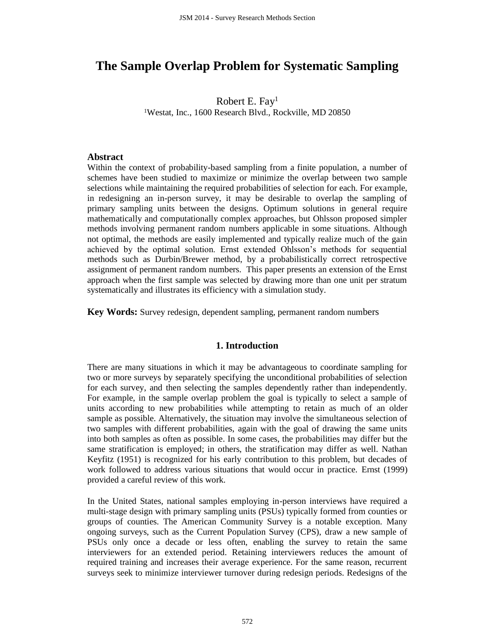# **The Sample Overlap Problem for Systematic Sampling**

Robert E. Fay<sup>1</sup> <sup>1</sup>Westat, Inc., 1600 Research Blvd., Rockville, MD 20850

#### **Abstract**

Within the context of probability-based sampling from a finite population, a number of schemes have been studied to maximize or minimize the overlap between two sample selections while maintaining the required probabilities of selection for each. For example, in redesigning an in-person survey, it may be desirable to overlap the sampling of primary sampling units between the designs. Optimum solutions in general require mathematically and computationally complex approaches, but Ohlsson proposed simpler methods involving permanent random numbers applicable in some situations. Although not optimal, the methods are easily implemented and typically realize much of the gain achieved by the optimal solution. Ernst extended Ohlsson's methods for sequential methods such as Durbin/Brewer method, by a probabilistically correct retrospective assignment of permanent random numbers. This paper presents an extension of the Ernst approach when the first sample was selected by drawing more than one unit per stratum systematically and illustrates its efficiency with a simulation study.

**Key Words:** Survey redesign, dependent sampling, permanent random numbers

#### **1. Introduction**

There are many situations in which it may be advantageous to coordinate sampling for two or more surveys by separately specifying the unconditional probabilities of selection for each survey, and then selecting the samples dependently rather than independently. For example, in the sample overlap problem the goal is typically to select a sample of units according to new probabilities while attempting to retain as much of an older sample as possible. Alternatively, the situation may involve the simultaneous selection of two samples with different probabilities, again with the goal of drawing the same units into both samples as often as possible. In some cases, the probabilities may differ but the same stratification is employed; in others, the stratification may differ as well. Nathan Keyfitz (1951) is recognized for his early contribution to this problem, but decades of work followed to address various situations that would occur in practice. Ernst (1999) provided a careful review of this work.

In the United States, national samples employing in-person interviews have required a multi-stage design with primary sampling units (PSUs) typically formed from counties or groups of counties. The American Community Survey is a notable exception. Many ongoing surveys, such as the Current Population Survey (CPS), draw a new sample of PSUs only once a decade or less often, enabling the survey to retain the same interviewers for an extended period. Retaining interviewers reduces the amount of required training and increases their average experience. For the same reason, recurrent surveys seek to minimize interviewer turnover during redesign periods. Redesigns of the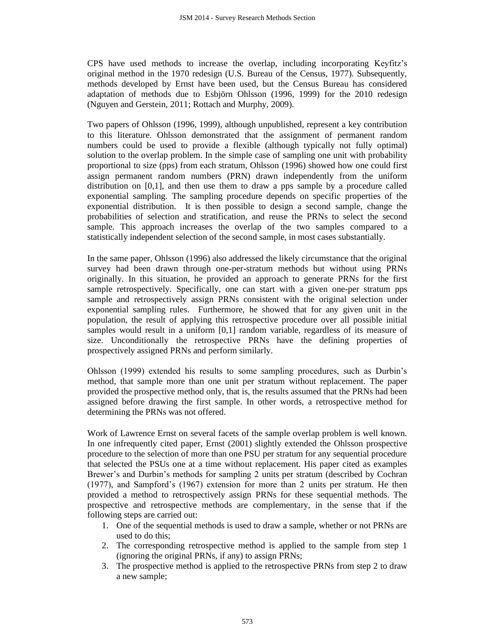CPS have used methods to increase the overlap, including incorporating Keyfitz's original method in the 1970 redesign (U.S. Bureau of the Census, 1977). Subsequently, methods developed by Ernst have been used, but the Census Bureau has considered adaptation of methods due to Esbjörn Ohlsson (1996, 1999) for the 2010 redesign (Nguyen and Gerstein, 2011; Rottach and Murphy, 2009).

Two papers of Ohlsson (1996, 1999), although unpublished, represent a key contribution to this literature. Ohlsson demonstrated that the assignment of permanent random numbers could be used to provide a flexible (although typically not fully optimal) solution to the overlap problem. In the simple case of sampling one unit with probability proportional to size (pps) from each stratum, Ohlsson (1996) showed how one could first assign permanent random numbers (PRN) drawn independently from the uniform distribution on [0,1], and then use them to draw a pps sample by a procedure called exponential sampling. The sampling procedure depends on specific properties of the exponential distribution. It is then possible to design a second sample, change the probabilities of selection and stratification, and reuse the PRNs to select the second sample. This approach increases the overlap of the two samples compared to a statistically independent selection of the second sample, in most cases substantially.

In the same paper, Ohlsson (1996) also addressed the likely circumstance that the original survey had been drawn through one-per-stratum methods but without using PRNs originally. In this situation, he provided an approach to generate PRNs for the first sample retrospectively. Specifically, one can start with a given one-per stratum pps sample and retrospectively assign PRNs consistent with the original selection under exponential sampling rules. Furthermore, he showed that for any given unit in the population, the result of applying this retrospective procedure over all possible initial samples would result in a uniform [0,1] random variable, regardless of its measure of size. Unconditionally the retrospective PRNs have the defining properties of prospectively assigned PRNs and perform similarly.

Ohlsson (1999) extended his results to some sampling procedures, such as Durbin's method, that sample more than one unit per stratum without replacement. The paper provided the prospective method only, that is, the results assumed that the PRNs had been assigned before drawing the first sample. In other words, a retrospective method for determining the PRNs was not offered.

Work of Lawrence Ernst on several facets of the sample overlap problem is well known. In one infrequently cited paper, Ernst (2001) slightly extended the Ohlsson prospective procedure to the selection of more than one PSU per stratum for any sequential procedure that selected the PSUs one at a time without replacement. His paper cited as examples Brewer's and Durbin's methods for sampling 2 units per stratum (described by Cochran (1977), and Sampford's (1967) extension for more than 2 units per stratum. He then provided a method to retrospectively assign PRNs for these sequential methods. The prospective and retrospective methods are complementary, in the sense that if the following steps are carried out:

- 1. One of the sequential methods is used to draw a sample, whether or not PRNs are used to do this;
- 2. The corresponding retrospective method is applied to the sample from step 1 (ignoring the original PRNs, if any) to assign PRNs;
- 3. The prospective method is applied to the retrospective PRNs from step 2 to draw a new sample;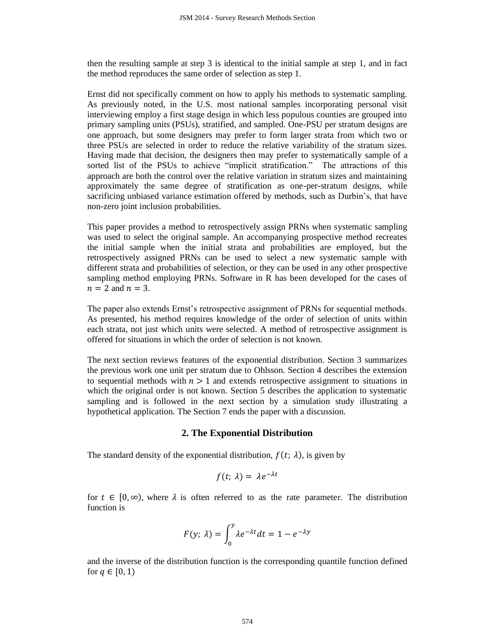then the resulting sample at step 3 is identical to the initial sample at step 1, and in fact the method reproduces the same order of selection as step 1.

Ernst did not specifically comment on how to apply his methods to systematic sampling. As previously noted, in the U.S. most national samples incorporating personal visit interviewing employ a first stage design in which less populous counties are grouped into primary sampling units (PSUs), stratified, and sampled. One-PSU per stratum designs are one approach, but some designers may prefer to form larger strata from which two or three PSUs are selected in order to reduce the relative variability of the stratum sizes. Having made that decision, the designers then may prefer to systematically sample of a sorted list of the PSUs to achieve "implicit stratification." The attractions of this approach are both the control over the relative variation in stratum sizes and maintaining approximately the same degree of stratification as one-per-stratum designs, while sacrificing unbiased variance estimation offered by methods, such as Durbin's, that have non-zero joint inclusion probabilities.

This paper provides a method to retrospectively assign PRNs when systematic sampling was used to select the original sample. An accompanying prospective method recreates the initial sample when the initial strata and probabilities are employed, but the retrospectively assigned PRNs can be used to select a new systematic sample with different strata and probabilities of selection, or they can be used in any other prospective sampling method employing PRNs. Software in R has been developed for the cases of  $n = 2$  and  $n = 3$ .

The paper also extends Ernst's retrospective assignment of PRNs for sequential methods. As presented, his method requires knowledge of the order of selection of units within each strata, not just which units were selected. A method of retrospective assignment is offered for situations in which the order of selection is not known.

The next section reviews features of the exponential distribution. Section 3 summarizes the previous work one unit per stratum due to Ohlsson. Section 4 describes the extension to sequential methods with  $n > 1$  and extends retrospective assignment to situations in which the original order is not known. Section 5 describes the application to systematic sampling and is followed in the next section by a simulation study illustrating a hypothetical application. The Section 7 ends the paper with a discussion.

# **2. The Exponential Distribution**

The standard density of the exponential distribution,  $f(t; \lambda)$ , is given by

$$
f(t; \lambda) = \lambda e^{-\lambda t}
$$

for  $t \in [0, \infty)$ , where  $\lambda$  is often referred to as the rate parameter. The distribution function is

$$
F(y; \lambda) = \int_0^y \lambda e^{-\lambda t} dt = 1 - e^{-\lambda y}
$$

and the inverse of the distribution function is the corresponding quantile function defined for  $q \in [0, 1)$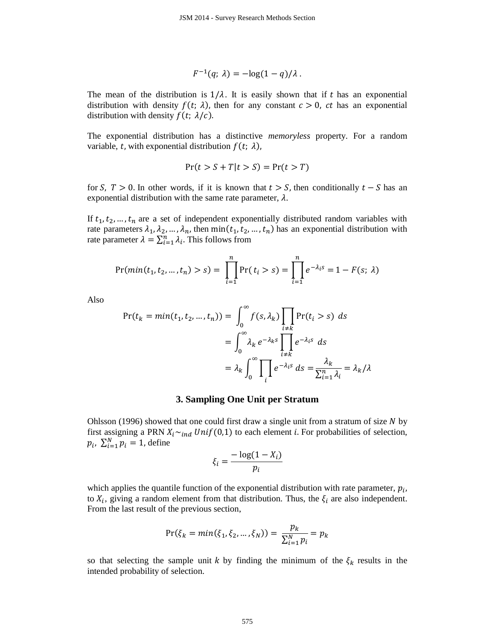$$
F^{-1}(q; \lambda) = -\log(1-q)/\lambda.
$$

The mean of the distribution is  $1/\lambda$ . It is easily shown that if t has an exponential distribution with density  $f(t; \lambda)$ , then for any constant  $c > 0$ , ct has an exponential distribution with density  $f(t; \lambda/c)$ .

The exponential distribution has a distinctive *memoryless* property. For a random variable, t, with exponential distribution  $f(t; \lambda)$ ,

$$
Pr(t > S + T | t > S) = Pr(t > T)
$$

for S,  $T > 0$ . In other words, if it is known that  $t > S$ , then conditionally  $t - S$  has an exponential distribution with the same rate parameter,  $\lambda$ .

If  $t_1, t_2, ..., t_n$  are a set of independent exponentially distributed random variables with rate parameters  $\lambda_1, \lambda_2, ..., \lambda_n$ , then min $(t_1, t_2, ..., t_n)$  has an exponential distribution with rate parameter  $\lambda = \sum_{i=1}^{n} \lambda_i$ . This follows from

$$
\Pr(\min(t_1, t_2, ..., t_n) > s) = \prod_{i=1}^n \Pr(t_i > s) = \prod_{i=1}^n e^{-\lambda_i s} = 1 - F(s; \lambda)
$$

Also

$$
Pr(t_k = min(t_1, t_2, ..., t_n)) = \int_0^\infty f(s, \lambda_k) \prod_{\substack{i \neq k}} Pr(t_i > s) ds
$$
  

$$
= \int_0^\infty \lambda_k e^{-\lambda_k s} \prod_{\substack{i \neq k}} e^{-\lambda_i s} ds
$$
  

$$
= \lambda_k \int_0^\infty \prod_i e^{-\lambda_i s} ds = \frac{\lambda_k}{\sum_{i=1}^n \lambda_i} = \lambda_k / \lambda
$$

### **3. Sampling One Unit per Stratum**

Ohlsson (1996) showed that one could first draw a single unit from a stratum of size  $N$  by first assigning a PRN  $X_i \sim_{ind} Unif(0,1)$  to each element *i*. For probabilities of selection,  $p_i$ ,  $\sum_{i=1}^{N} p_i = 1$ , define

$$
\xi_i = \frac{-\log(1 - X_i)}{p_i}
$$

which applies the quantile function of the exponential distribution with rate parameter,  $p_i$ , to  $X_i$ , giving a random element from that distribution. Thus, the  $\xi_i$  are also independent. From the last result of the previous section,

$$
Pr(\xi_k = min(\xi_1, \xi_2, ..., \xi_N)) = \frac{p_k}{\sum_{i=1}^N p_i} = p_k
$$

so that selecting the sample unit k by finding the minimum of the  $\xi_k$  results in the intended probability of selection.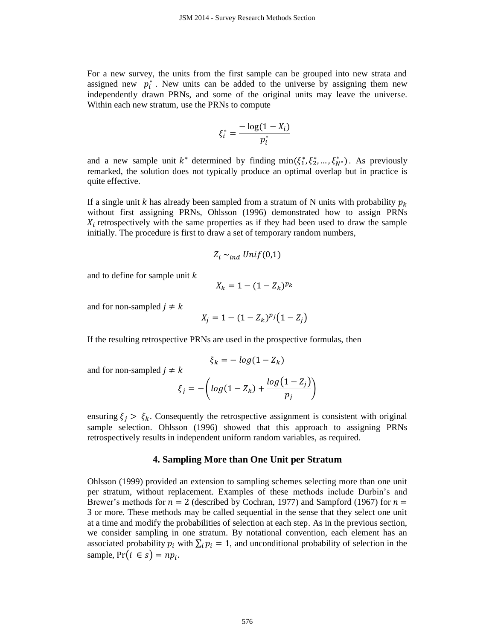For a new survey, the units from the first sample can be grouped into new strata and assigned new  $p_i^*$ . New units can be added to the universe by assigning them new independently drawn PRNs, and some of the original units may leave the universe. Within each new stratum, use the PRNs to compute

$$
\xi_i^* = \frac{-\log(1 - X_i)}{p_i^*}
$$

and a new sample unit  $k^*$  determined by finding  $\min(\xi_1^*, \xi_2^*, \dots, \xi_N^*)$ . As previously remarked, the solution does not typically produce an optimal overlap but in practice is quite effective.

If a single unit k has already been sampled from a stratum of N units with probability  $p_k$ without first assigning PRNs, Ohlsson (1996) demonstrated how to assign PRNs  $X_i$  retrospectively with the same properties as if they had been used to draw the sample initially. The procedure is first to draw a set of temporary random numbers,

$$
Z_i \sim_{ind} Unif(0,1)
$$

and to define for sample unit  $k$ 

$$
X_k = 1 - (1 - Z_k)^{p_k}
$$

and for non-sampled  $j \neq k$ 

$$
X_j = 1 - (1 - Z_k)^{p_j} (1 - Z_j)
$$

If the resulting retrospective PRNs are used in the prospective formulas, then

and for non-sampled 
$$
j \neq k
$$

$$
\zeta_j = -\left(\log(1 - Z_k) + \frac{\log(1 - Z_j)}{p_j}\right)
$$

 $\xi_k = -\log(1 - Z_k)$ 

ensuring  $\xi_j > \xi_k$ . Consequently the retrospective assignment is consistent with original sample selection. Ohlsson (1996) showed that this approach to assigning PRNs retrospectively results in independent uniform random variables, as required.

#### **4. Sampling More than One Unit per Stratum**

Ohlsson (1999) provided an extension to sampling schemes selecting more than one unit per stratum, without replacement. Examples of these methods include Durbin's and Brewer's methods for  $n = 2$  (described by Cochran, 1977) and Sampford (1967) for  $n =$ 3 or more. These methods may be called sequential in the sense that they select one unit at a time and modify the probabilities of selection at each step. As in the previous section, we consider sampling in one stratum. By notational convention, each element has an associated probability  $p_i$  with  $\sum_i p_i = 1$ , and unconditional probability of selection in the sample,  $Pr(i \in s) = np_i$ .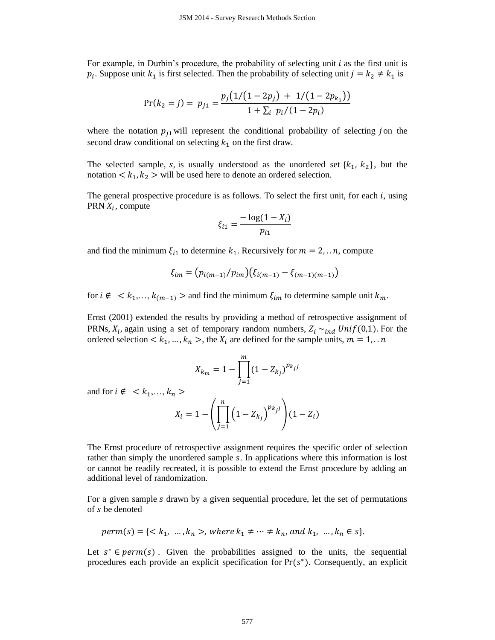For example, in Durbin's procedure, the probability of selecting unit *i* as the first unit is  $p_i$ . Suppose unit  $k_1$  is first selected. Then the probability of selecting unit  $j = k_2 \neq k_1$  is

$$
Pr(k_2 = j) = p_{j1} = \frac{p_j(1/(1-2p_j) + 1/(1-2p_{k_1}))}{1 + \sum_i p_i/(1-2p_i)}
$$

where the notation  $p_{j1}$  will represent the conditional probability of selecting *j* on the second draw conditional on selecting  $k_1$  on the first draw.

The selected sample, s, is usually understood as the unordered set  $\{k_1, k_2\}$ , but the notation  $\langle k_1, k_2 \rangle$  will be used here to denote an ordered selection.

The general prospective procedure is as follows. To select the first unit, for each  $i$ , using PRN  $X_i$ , compute

$$
\xi_{i1} = \frac{-\log(1 - X_i)}{p_{i1}}
$$

and find the minimum  $\xi_{i1}$  to determine  $k_1$ . Recursively for  $m = 2, \ldots n$ , compute

$$
\xi_{im} = (p_{i(m-1)}/p_{im})(\xi_{i(m-1)} - \xi_{(m-1)(m-1)})
$$

for  $i \notin \langle k_1,...,k_{(m-1)} \rangle$  and find the minimum  $\xi_{im}$  to determine sample unit  $k_m$ .

Ernst (2001) extended the results by providing a method of retrospective assignment of PRNs,  $X_i$ , again using a set of temporary random numbers,  $Z_i \sim_{ind} Unif(0,1)$ . For the ordered selection  $\lt k_1, \ldots, k_n \gt$ , the  $X_i$  are defined for the sample units,  $m = 1, \ldots n$ 

$$
X_{k_m} = 1 - \prod_{j=1}^{m} (1 - Z_{k_j})^{p_{k_j j}}
$$

and for  $i \notin \{ k_1, \ldots, k_n \}$ 

$$
X_{i} = 1 - \left(\prod_{j=1}^{n} \left(1 - Z_{k_{j}}\right)^{p_{k_{j}j}}\right) (1 - Z_{i})
$$

The Ernst procedure of retrospective assignment requires the specific order of selection rather than simply the unordered sample s. In applications where this information is lost or cannot be readily recreated, it is possible to extend the Ernst procedure by adding an additional level of randomization.

For a given sample s drawn by a given sequential procedure, let the set of permutations of s be denoted

$$
perm(s) = \{ \langle k_1, ..., k_n \rangle, \text{ where } k_1 \neq \dots \neq k_n, \text{ and } k_1, ..., k_n \in s \}.
$$

Let  $s^* \in perm(s)$ . Given the probabilities assigned to the units, the sequential procedures each provide an explicit specification for  $Pr(s^*)$ . Consequently, an explicit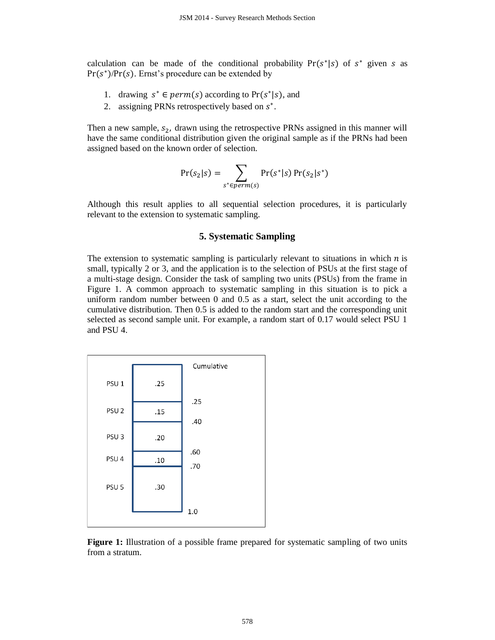calculation can be made of the conditional probability  $Pr(s^*|s)$  of  $s^*$  given s as  $Pr(s^*)/Pr(s)$ . Ernst's procedure can be extended by

- 1. drawing  $s^* \in perm(s)$  according to  $Pr(s^*|s)$ , and
- 2. assigning PRNs retrospectively based on  $s^*$ .

Then a new sample,  $s_2$ , drawn using the retrospective PRNs assigned in this manner will have the same conditional distribution given the original sample as if the PRNs had been assigned based on the known order of selection.

$$
Pr(s_2|s) = \sum_{s^* \in perm(s)} Pr(s^*|s) Pr(s_2|s^*)
$$

Although this result applies to all sequential selection procedures, it is particularly relevant to the extension to systematic sampling.

### **5. Systematic Sampling**

The extension to systematic sampling is particularly relevant to situations in which  $n$  is small, typically 2 or 3, and the application is to the selection of PSUs at the first stage of a multi-stage design. Consider the task of sampling two units (PSUs) from the frame in Figure 1. A common approach to systematic sampling in this situation is to pick a uniform random number between 0 and 0.5 as a start, select the unit according to the cumulative distribution. Then 0.5 is added to the random start and the corresponding unit selected as second sample unit. For example, a random start of 0.17 would select PSU 1 and PSU 4.



Figure 1: Illustration of a possible frame prepared for systematic sampling of two units from a stratum.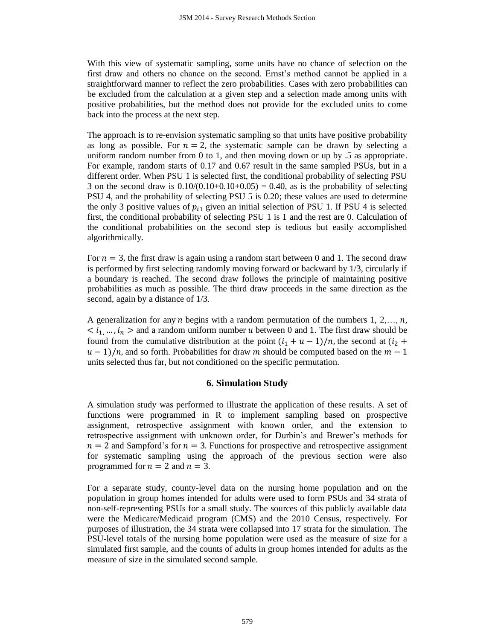With this view of systematic sampling, some units have no chance of selection on the first draw and others no chance on the second. Ernst's method cannot be applied in a straightforward manner to reflect the zero probabilities. Cases with zero probabilities can be excluded from the calculation at a given step and a selection made among units with positive probabilities, but the method does not provide for the excluded units to come back into the process at the next step.

The approach is to re-envision systematic sampling so that units have positive probability as long as possible. For  $n = 2$ , the systematic sample can be drawn by selecting a uniform random number from 0 to 1, and then moving down or up by .5 as appropriate. For example, random starts of 0.17 and 0.67 result in the same sampled PSUs, but in a different order. When PSU 1 is selected first, the conditional probability of selecting PSU 3 on the second draw is  $0.10/(0.10+0.10+0.05) = 0.40$ , as is the probability of selecting PSU 4, and the probability of selecting PSU 5 is 0.20; these values are used to determine the only 3 positive values of  $p_{i1}$  given an initial selection of PSU 1. If PSU 4 is selected first, the conditional probability of selecting PSU 1 is 1 and the rest are 0. Calculation of the conditional probabilities on the second step is tedious but easily accomplished algorithmically.

For  $n = 3$ , the first draw is again using a random start between 0 and 1. The second draw is performed by first selecting randomly moving forward or backward by 1/3, circularly if a boundary is reached. The second draw follows the principle of maintaining positive probabilities as much as possible. The third draw proceeds in the same direction as the second, again by a distance of 1/3.

A generalization for any *n* begins with a random permutation of the numbers 1, 2,..., *n*,  $\langle i_1, \ldots, i_n \rangle$  and a random uniform number u between 0 and 1. The first draw should be found from the cumulative distribution at the point  $(i_1 + u - 1)/n$ , the second at  $(i_2 +$  $u - 1/n$ , and so forth. Probabilities for draw m should be computed based on the  $m - 1$ units selected thus far, but not conditioned on the specific permutation.

# **6. Simulation Study**

A simulation study was performed to illustrate the application of these results. A set of functions were programmed in R to implement sampling based on prospective assignment, retrospective assignment with known order, and the extension to retrospective assignment with unknown order, for Durbin's and Brewer's methods for  $n = 2$  and Sampford's for  $n = 3$ . Functions for prospective and retrospective assignment for systematic sampling using the approach of the previous section were also programmed for  $n = 2$  and  $n = 3$ .

For a separate study, county-level data on the nursing home population and on the population in group homes intended for adults were used to form PSUs and 34 strata of non-self-representing PSUs for a small study. The sources of this publicly available data were the Medicare/Medicaid program (CMS) and the 2010 Census, respectively. For purposes of illustration, the 34 strata were collapsed into 17 strata for the simulation. The PSU-level totals of the nursing home population were used as the measure of size for a simulated first sample, and the counts of adults in group homes intended for adults as the measure of size in the simulated second sample.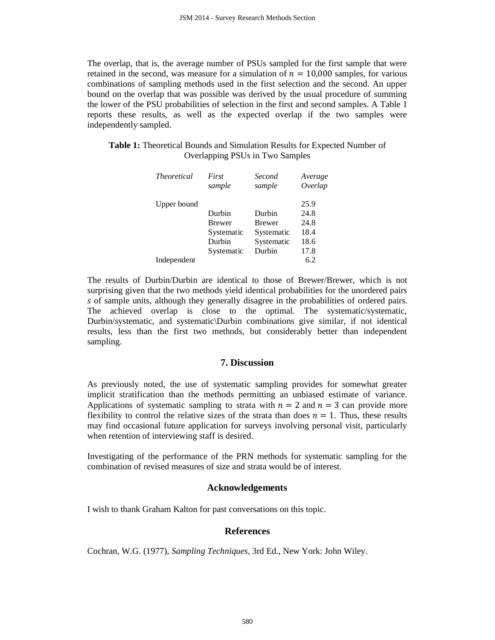The overlap, that is, the average number of PSUs sampled for the first sample that were retained in the second, was measure for a simulation of  $n = 10,000$  samples, for various combinations of sampling methods used in the first selection and the second. An upper bound on the overlap that was possible was derived by the usual procedure of summing the lower of the PSU probabilities of selection in the first and second samples. A Table 1 reports these results, as well as the expected overlap if the two samples were independently sampled.

**Table 1:** Theoretical Bounds and Simulation Results for Expected Number of Overlapping PSUs in Two Samples

| <i>Theoretical</i> | First<br>sample | Second<br>sample | Average<br>Overlap |
|--------------------|-----------------|------------------|--------------------|
| Upper bound        |                 |                  | 25.9               |
|                    | Durbin          | Durbin           | 24.8               |
|                    | <b>Brewer</b>   | <b>Brewer</b>    | 24.8               |
|                    | Systematic      | Systematic       | 18.4               |
|                    | Durbin          | Systematic       | 18.6               |
|                    | Systematic      | Durbin           | 17.8               |
| Independent        |                 |                  | 6.2                |

The results of Durbin/Durbin are identical to those of Brewer/Brewer, which is not surprising given that the two methods yield identical probabilities for the unordered pairs s of sample units, although they generally disagree in the probabilities of ordered pairs. The achieved overlap is close to the optimal. The systematic/systematic, Durbin/systematic, and systematic\Durbin combinations give similar, if not identical results, less than the first two methods, but considerably better than independent sampling.

# **7. Discussion**

As previously noted, the use of systematic sampling provides for somewhat greater implicit stratification than the methods permitting an unbiased estimate of variance. Applications of systematic sampling to strata with  $n = 2$  and  $n = 3$  can provide more flexibility to control the relative sizes of the strata than does  $n = 1$ . Thus, these results may find occasional future application for surveys involving personal visit, particularly when retention of interviewing staff is desired.

Investigating of the performance of the PRN methods for systematic sampling for the combination of revised measures of size and strata would be of interest.

# **Acknowledgements**

I wish to thank Graham Kalton for past conversations on this topic.

# **References**

Cochran, W.G. (1977), *Sampling Techniques*, 3rd Ed., New York: John Wiley.